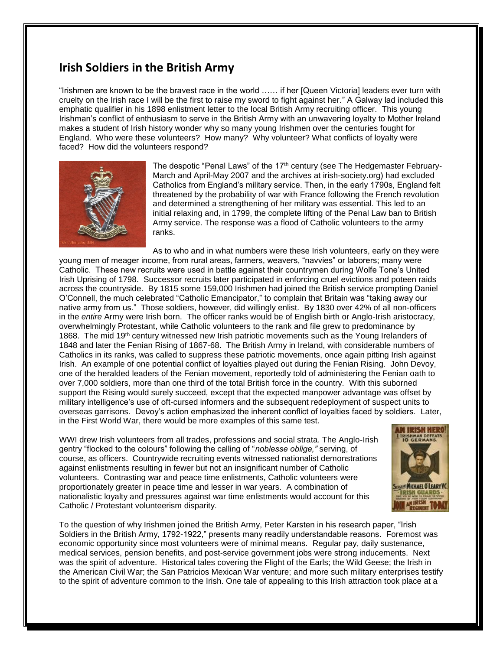## **Irish Soldiers in the British Army**

"Irishmen are known to be the bravest race in the world …… if her [Queen Victoria] leaders ever turn with cruelty on the Irish race I will be the first to raise my sword to fight against her." A Galway lad included this emphatic qualifier in his 1898 enlistment letter to the local British Army recruiting officer. This young Irishman's conflict of enthusiasm to serve in the British Army with an unwavering loyalty to Mother Ireland makes a student of Irish history wonder why so many young Irishmen over the centuries fought for England. Who were these volunteers? How many? Why volunteer? What conflicts of loyalty were faced? How did the volunteers respond?



The despotic "Penal Laws" of the 17<sup>th</sup> century (see The Hedgemaster February-March and April-May 2007 and the archives at irish-society.org) had excluded Catholics from England's military service. Then, in the early 1790s, England felt threatened by the probability of war with France following the French revolution and determined a strengthening of her military was essential. This led to an initial relaxing and, in 1799, the complete lifting of the Penal Law ban to British Army service. The response was a flood of Catholic volunteers to the army ranks.

As to who and in what numbers were these Irish volunteers, early on they were young men of meager income, from rural areas, farmers, weavers, "navvies" or laborers; many were Catholic. These new recruits were used in battle against their countrymen during Wolfe Tone's United Irish Uprising of 1798. Successor recruits later participated in enforcing cruel evictions and poteen raids across the countryside. By 1815 some 159,000 Irishmen had joined the British service prompting Daniel O'Connell, the much celebrated "Catholic Emancipator," to complain that Britain was "taking away our native army from us." Those soldiers, however, did willingly enlist. By 1830 over 42% of all non-officers in the *entire* Army were Irish born. The officer ranks would be of English birth or Anglo-Irish aristocracy, overwhelmingly Protestant, while Catholic volunteers to the rank and file grew to predominance by 1868. The mid 19<sup>th</sup> century witnessed new Irish patriotic movements such as the Young Irelanders of 1848 and later the Fenian Rising of 1867-68. The British Army in Ireland, with considerable numbers of Catholics in its ranks, was called to suppress these patriotic movements, once again pitting Irish against Irish. An example of one potential conflict of loyalties played out during the Fenian Rising. John Devoy, one of the heralded leaders of the Fenian movement, reportedly told of administering the Fenian oath to over 7,000 soldiers, more than one third of the total British force in the country. With this suborned support the Rising would surely succeed, except that the expected manpower advantage was offset by military intelligence's use of oft-cursed informers and the subsequent redeployment of suspect units to overseas garrisons. Devoy's action emphasized the inherent conflict of loyalties faced by soldiers. Later, in the First World War, there would be more examples of this same test.

WWI drew Irish volunteers from all trades, professions and social strata. The Anglo-Irish gentry "flocked to the colours" following the calling of "*noblesse oblige,"* serving, of course, as officers. Countrywide recruiting events witnessed nationalist demonstrations against enlistments resulting in fewer but not an insignificant number of Catholic volunteers. Contrasting war and peace time enlistments, Catholic volunteers were proportionately greater in peace time and lesser in war years. A combination of nationalistic loyalty and pressures against war time enlistments would account for this Catholic / Protestant volunteerism disparity.



To the question of why Irishmen joined the British Army, Peter Karsten in his research paper, "Irish Soldiers in the British Army, 1792-1922," presents many readily understandable reasons. Foremost was economic opportunity since most volunteers were of minimal means. Regular pay, daily sustenance, medical services, pension benefits, and post-service government jobs were strong inducements. Next was the spirit of adventure. Historical tales covering the Flight of the Earls; the Wild Geese; the Irish in the American Civil War; the San Patricios Mexican War venture; and more such military enterprises testify to the spirit of adventure common to the Irish. One tale of appealing to this Irish attraction took place at a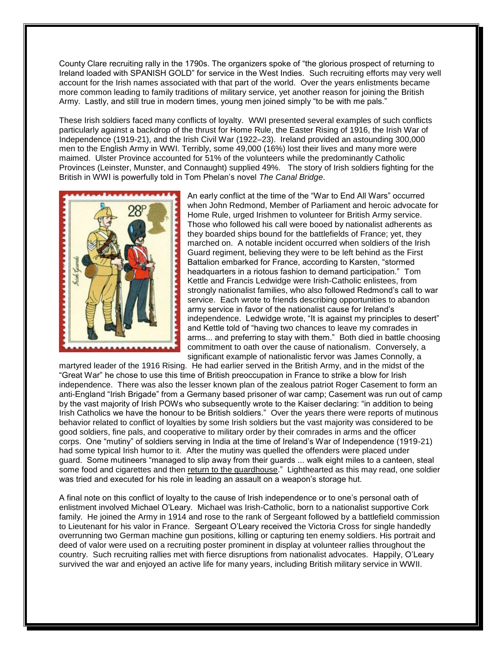County Clare recruiting rally in the 1790s. The organizers spoke of "the glorious prospect of returning to Ireland loaded with SPANISH GOLD" for service in the West Indies. Such recruiting efforts may very well account for the Irish names associated with that part of the world. Over the years enlistments became more common leading to family traditions of military service, yet another reason for joining the British Army. Lastly, and still true in modern times, young men joined simply "to be with me pals."

These Irish soldiers faced many conflicts of loyalty. WWI presented several examples of such conflicts particularly against a backdrop of the thrust for Home Rule, the Easter Rising of 1916, the Irish War of Independence (1919-21), and the Irish Civil War (1922–23). Ireland provided an astounding 300,000 men to the English Army in WWI. Terribly, some 49,000 (16%) lost their lives and many more were maimed. Ulster Province accounted for 51% of the volunteers while the predominantly Catholic Provinces (Leinster, Munster, and Connaught) supplied 49%. The story of Irish soldiers fighting for the British in WWI is powerfully told in Tom Phelan's novel *The Canal Bridge*.



An early conflict at the time of the "War to End All Wars" occurred when John Redmond, Member of Parliament and heroic advocate for Home Rule, urged Irishmen to volunteer for British Army service. Those who followed his call were booed by nationalist adherents as they boarded ships bound for the battlefields of France; yet, they marched on. A notable incident occurred when soldiers of the Irish Guard regiment, believing they were to be left behind as the First Battalion embarked for France, according to Karsten, "stormed headquarters in a riotous fashion to demand participation." Tom Kettle and Francis Ledwidge were Irish-Catholic enlistees, from strongly nationalist families, who also followed Redmond's call to war service. Each wrote to friends describing opportunities to abandon army service in favor of the nationalist cause for Ireland's independence. Ledwidge wrote, "It is against my principles to desert" and Kettle told of "having two chances to leave my comrades in arms... and preferring to stay with them." Both died in battle choosing commitment to oath over the cause of nationalism. Conversely, a significant example of nationalistic fervor was James Connolly, a

martyred leader of the 1916 Rising. He had earlier served in the British Army, and in the midst of the "Great War" he chose to use this time of British preoccupation in France to strike a blow for Irish independence. There was also the lesser known plan of the zealous patriot Roger Casement to form an anti-England "Irish Brigade" from a Germany based prisoner of war camp; Casement was run out of camp by the vast majority of Irish POWs who subsequently wrote to the Kaiser declaring: "in addition to being Irish Catholics we have the honour to be British soldiers." Over the years there were reports of mutinous behavior related to conflict of loyalties by some Irish soldiers but the vast majority was considered to be good soldiers, fine pals, and cooperative to military order by their comrades in arms and the officer corps. One "mutiny" of soldiers serving in India at the time of Ireland's War of Independence (1919-21) had some typical Irish humor to it. After the mutiny was quelled the offenders were placed under guard. Some mutineers "managed to slip away from their guards ... walk eight miles to a canteen, steal some food and cigarettes and then return to the guardhouse." Lighthearted as this may read, one soldier was tried and executed for his role in leading an assault on a weapon's storage hut.

A final note on this conflict of loyalty to the cause of Irish independence or to one's personal oath of enlistment involved Michael O'Leary. Michael was Irish-Catholic, born to a nationalist supportive Cork family. He joined the Army in 1914 and rose to the rank of Sergeant followed by a battlefield commission to Lieutenant for his valor in France. Sergeant O'Leary received the Victoria Cross for single handedly overrunning two German machine gun positions, killing or capturing ten enemy soldiers. His portrait and deed of valor were used on a recruiting poster prominent in display at volunteer rallies throughout the country. Such recruiting rallies met with fierce disruptions from nationalist advocates. Happily, O'Leary survived the war and enjoyed an active life for many years, including British military service in WWII.